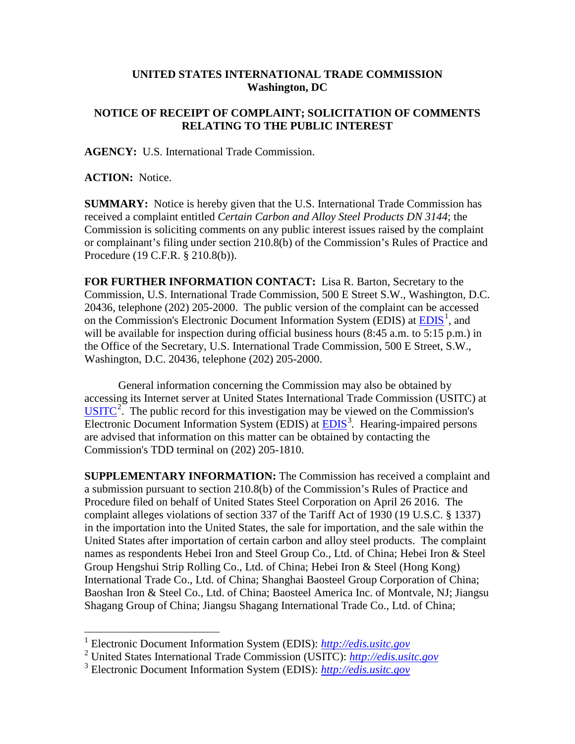## **UNITED STATES INTERNATIONAL TRADE COMMISSION Washington, DC**

## **NOTICE OF RECEIPT OF COMPLAINT; SOLICITATION OF COMMENTS RELATING TO THE PUBLIC INTEREST**

**AGENCY:** U.S. International Trade Commission.

**ACTION:** Notice.

**SUMMARY:** Notice is hereby given that the U.S. International Trade Commission has received a complaint entitled *Certain Carbon and Alloy Steel Products DN 3144*; the Commission is soliciting comments on any public interest issues raised by the complaint or complainant's filing under section 210.8(b) of the Commission's Rules of Practice and Procedure (19 C.F.R. § 210.8(b)).

**FOR FURTHER INFORMATION CONTACT:** Lisa R. Barton, Secretary to the Commission, U.S. International Trade Commission, 500 E Street S.W., Washington, D.C. 20436, telephone (202) 205-2000. The public version of the complaint can be accessed on the Commission's Electronic Document Information System (EDIS) at  $\underline{EDIS}^1$  $\underline{EDIS}^1$ , and will be available for inspection during official business hours (8:45 a.m. to 5:15 p.m.) in the Office of the Secretary, U.S. International Trade Commission, 500 E Street, S.W., Washington, D.C. 20436, telephone (202) 205-2000.

General information concerning the Commission may also be obtained by accessing its Internet server at United States International Trade Commission (USITC) at  $\overline{USTTC}^2$  $\overline{USTTC}^2$ . The public record for this investigation may be viewed on the Commission's Electronic Document Information System (EDIS) at **EDIS**<sup>[3](#page-0-2)</sup>. Hearing-impaired persons are advised that information on this matter can be obtained by contacting the Commission's TDD terminal on (202) 205-1810.

**SUPPLEMENTARY INFORMATION:** The Commission has received a complaint and a submission pursuant to section 210.8(b) of the Commission's Rules of Practice and Procedure filed on behalf of United States Steel Corporation on April 26 2016. The complaint alleges violations of section 337 of the Tariff Act of 1930 (19 U.S.C. § 1337) in the importation into the United States, the sale for importation, and the sale within the United States after importation of certain carbon and alloy steel products. The complaint names as respondents Hebei Iron and Steel Group Co., Ltd. of China; Hebei Iron & Steel Group Hengshui Strip Rolling Co., Ltd. of China; Hebei Iron & Steel (Hong Kong) International Trade Co., Ltd. of China; Shanghai Baosteel Group Corporation of China; Baoshan Iron & Steel Co., Ltd. of China; Baosteel America Inc. of Montvale, NJ; Jiangsu Shagang Group of China; Jiangsu Shagang International Trade Co., Ltd. of China;

 <sup>1</sup> Electronic Document Information System (EDIS): *[http://edis.usitc.gov](http://edis.usitc.gov/)*

<span id="page-0-1"></span><span id="page-0-0"></span><sup>2</sup> United States International Trade Commission (USITC): *[http://edis.usitc.gov](http://edis.usitc.gov/)*

<span id="page-0-2"></span><sup>3</sup> Electronic Document Information System (EDIS): *[http://edis.usitc.gov](http://edis.usitc.gov/)*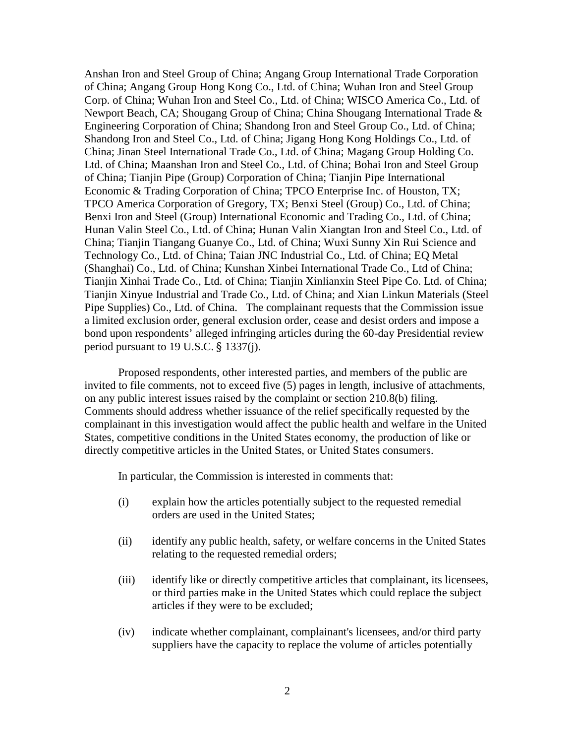Anshan Iron and Steel Group of China; Angang Group International Trade Corporation of China; Angang Group Hong Kong Co., Ltd. of China; Wuhan Iron and Steel Group Corp. of China; Wuhan Iron and Steel Co., Ltd. of China; WISCO America Co., Ltd. of Newport Beach, CA; Shougang Group of China; China Shougang International Trade & Engineering Corporation of China; Shandong Iron and Steel Group Co., Ltd. of China; Shandong Iron and Steel Co., Ltd. of China; Jigang Hong Kong Holdings Co., Ltd. of China; Jinan Steel International Trade Co., Ltd. of China; Magang Group Holding Co. Ltd. of China; Maanshan Iron and Steel Co., Ltd. of China; Bohai Iron and Steel Group of China; Tianjin Pipe (Group) Corporation of China; Tianjin Pipe International Economic & Trading Corporation of China; TPCO Enterprise Inc. of Houston, TX; TPCO America Corporation of Gregory, TX; Benxi Steel (Group) Co., Ltd. of China; Benxi Iron and Steel (Group) International Economic and Trading Co., Ltd. of China; Hunan Valin Steel Co., Ltd. of China; Hunan Valin Xiangtan Iron and Steel Co., Ltd. of China; Tianjin Tiangang Guanye Co., Ltd. of China; Wuxi Sunny Xin Rui Science and Technology Co., Ltd. of China; Taian JNC Industrial Co., Ltd. of China; EQ Metal (Shanghai) Co., Ltd. of China; Kunshan Xinbei International Trade Co., Ltd of China; Tianjin Xinhai Trade Co., Ltd. of China; Tianjin Xinlianxin Steel Pipe Co. Ltd. of China; Tianjin Xinyue Industrial and Trade Co., Ltd. of China; and Xian Linkun Materials (Steel Pipe Supplies) Co., Ltd. of China. The complainant requests that the Commission issue a limited exclusion order, general exclusion order, cease and desist orders and impose a bond upon respondents' alleged infringing articles during the 60-day Presidential review period pursuant to 19 U.S.C. § 1337(j).

Proposed respondents, other interested parties, and members of the public are invited to file comments, not to exceed five (5) pages in length, inclusive of attachments, on any public interest issues raised by the complaint or section 210.8(b) filing. Comments should address whether issuance of the relief specifically requested by the complainant in this investigation would affect the public health and welfare in the United States, competitive conditions in the United States economy, the production of like or directly competitive articles in the United States, or United States consumers.

In particular, the Commission is interested in comments that:

- (i) explain how the articles potentially subject to the requested remedial orders are used in the United States;
- (ii) identify any public health, safety, or welfare concerns in the United States relating to the requested remedial orders;
- (iii) identify like or directly competitive articles that complainant, its licensees, or third parties make in the United States which could replace the subject articles if they were to be excluded;
- (iv) indicate whether complainant, complainant's licensees, and/or third party suppliers have the capacity to replace the volume of articles potentially